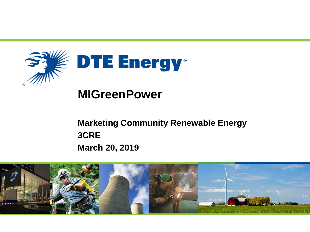

## **MIGreenPower**

**Marketing Community Renewable Energy 3CRE March 20, 2019**

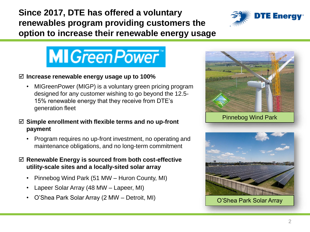**Since 2017, DTE has offered a voluntary renewables program providing customers the option to increase their renewable energy usage**



# **MIGreen Power**

#### **Increase renewable energy usage up to 100%**

- MIGreenPower (MIGP) is a voluntary green pricing program designed for any customer wishing to go beyond the 12.5- 15% renewable energy that they receive from DTE's generation fleet
- **Simple enrollment with flexible terms and no up-front payment**
	- Program requires no up-front investment, no operating and maintenance obligations, and no long-term commitment
- **Renewable Energy is sourced from both cost-effective utility-scale sites and a locally-sited solar array**
	- Pinnebog Wind Park (51 MW Huron County, MI)
	- Lapeer Solar Array (48 MW Lapeer, MI)
	- O'Shea Park Solar Array (2 MW Detroit, MI) Q'Shea Park Solar Array



Pinnebog Wind Park

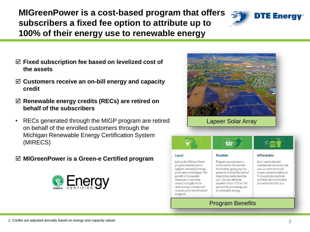**MIGreenPower is a cost-based program that offers subscribers a fixed fee option to attribute up to 100% of their energy use to renewable energy**



- **Fixed subscription fee based on levelized cost of the assets**
- **Customers receive an on-bill energy and capacity credit**
- **Renewable energy credits (RECs) are retired on behalf of the subscribers**
- RECs generated through the MIGP program are retired on behalf of the enrolled customers through the Michigan Renewable Energy Certification System (MIRECS)

### **MIGreenPower is a Green-e Certified program**



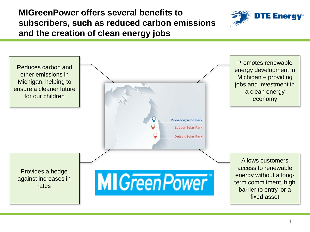## **MIGreenPower offers several benefits to subscribers, such as reduced carbon emissions and the creation of clean energy jobs**



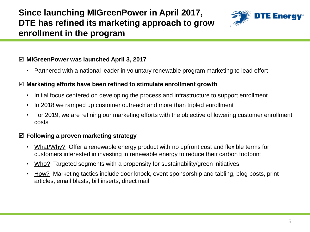**Since launching MIGreenPower in April 2017, DTE has refined its marketing approach to grow enrollment in the program**



#### **MIGreenPower was launched April 3, 2017**

• Partnered with a national leader in voluntary renewable program marketing to lead effort

#### **Marketing efforts have been refined to stimulate enrollment growth**

- Initial focus centered on developing the process and infrastructure to support enrollment
- In 2018 we ramped up customer outreach and more than tripled enrollment
- For 2019, we are refining our marketing efforts with the objective of lowering customer enrollment costs

#### **Following a proven marketing strategy**

- What/Why? Offer a renewable energy product with no upfront cost and flexible terms for customers interested in investing in renewable energy to reduce their carbon footprint
- Who? Targeted segments with a propensity for sustainability/green initiatives
- How? Marketing tactics include door knock, event sponsorship and tabling, blog posts, print articles, email blasts, bill inserts, direct mail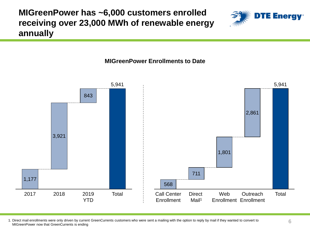**MIGreenPower has ~6,000 customers enrolled receiving over 23,000 MWh of renewable energy annually**

#### **MIGreenPower Enrollments to Date**



1. Direct mail enrollments were only driven by current GreenCurrents customers who were sent a mailing with the option to reply by mail if they wanted to convert to MIGreenPower now that GreenCurrents is ending

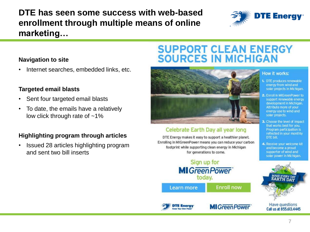**DTE has seen some success with web-based enrollment through multiple means of online marketing…**



#### **Navigation to site**

• Internet searches, embedded links, etc.

#### **Targeted email blasts**

- Sent four targeted email blasts
- To date, the emails have a relatively low click through rate of  $~1\%$

#### **Highlighting program through articles**

• Issued 28 articles highlighting program and sent two bill inserts

## **SUPPORT CLEAN ENERGY SOURCES IN MICHIGAN**



#### Celebrate Earth Day all year long

DTE Energy makes it easy to support a healthier planet. Enrolling in MIGreenPower means you can reduce your carbon footprint while supporting clean energy in Michigan for generations to come.

#### Sign up for **MI** Green Power today. **Enroll now Learn more**

**MI** Green Power

**TE Energy** 

**Have questions** Call us at 855,613,4445

#### **How it works:**

- 1. DTE produces renewable energy from wind and solar projects in Michigan.
- 2. Enroll in MIGreenPower to support renewable energy development in Michigan. Attribute more of your energy use to wind and solar projects.
- 3. Choose the level of impact that works best for you. Program participation is reflected in your monthly **DTE bill.**
- 4. Receive your welcome kit and become a proud supporter of wind and solar power in Michigan.

**AKE EVERY DAY**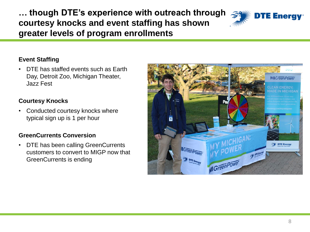**… though DTE's experience with outreach through courtesy knocks and event staffing has shown greater levels of program enrollments**



#### **Event Staffing**

• DTE has staffed events such as Earth Day, Detroit Zoo, Michigan Theater, Jazz Fest

#### **Courtesy Knocks**

• Conducted courtesy knocks where typical sign up is 1 per hour

#### **GreenCurrents Conversion**

• DTE has been calling GreenCurrents customers to convert to MIGP now that GreenCurrents is ending